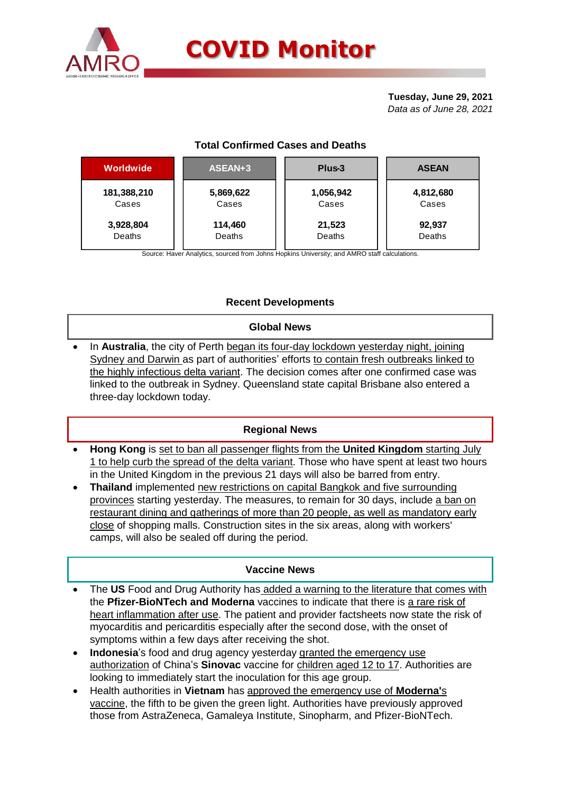

**Tuesday, June 29, 2021** *Data as of June 28, 2021*

# **Total Confirmed Cases and Deaths**

| Worldwide   | ASEAN+3   | Plus-3    | <b>ASEAN</b> |  |  |
|-------------|-----------|-----------|--------------|--|--|
| 181,388,210 | 5,869,622 | 1,056,942 | 4,812,680    |  |  |
| Cases       | Cases     | Cases     | Cases        |  |  |
| 3,928,804   | 114,460   | 21,523    | 92,937       |  |  |
| Deaths      | Deaths    | Deaths    | Deaths       |  |  |
|             |           |           |              |  |  |

Source: Haver Analytics, sourced from Johns Hopkins University; and AMRO staff calculations.

## **Recent Developments**

### **Global News**

 In **Australia**, the city of Perth began its four-day lockdown yesterday night, joining Sydney and Darwin as part of authorities' efforts to contain fresh outbreaks linked to the highly infectious delta variant. The decision comes after one confirmed case was linked to the outbreak in Sydney. Queensland state capital Brisbane also entered a three-day lockdown today.

### **Regional News**

- **Hong Kong** is set to ban all passenger flights from the **United Kingdom** starting July 1 to help curb the spread of the delta variant. Those who have spent at least two hours in the United Kingdom in the previous 21 days will also be barred from entry.
- **Thailand** implemented new restrictions on capital Bangkok and five surrounding provinces starting yesterday. The measures, to remain for 30 days, include a ban on restaurant dining and gatherings of more than 20 people, as well as mandatory early close of shopping malls. Construction sites in the six areas, along with workers' camps, will also be sealed off during the period.

### **Vaccine News**

- The **US** Food and Drug Authority has added a warning to the literature that comes with the **Pfizer-BioNTech and Moderna** vaccines to indicate that there is a rare risk of heart inflammation after use. The patient and provider factsheets now state the risk of myocarditis and pericarditis especially after the second dose, with the onset of symptoms within a few days after receiving the shot.
- **Indonesia**'s food and drug agency yesterday granted the emergency use authorization of China's **Sinovac** vaccine for children aged 12 to 17. Authorities are looking to immediately start the inoculation for this age group.
- Health authorities in **Vietnam** has approved the emergency use of **Moderna'**s vaccine, the fifth to be given the green light. Authorities have previously approved those from AstraZeneca, Gamaleya Institute, Sinopharm, and Pfizer-BioNTech.